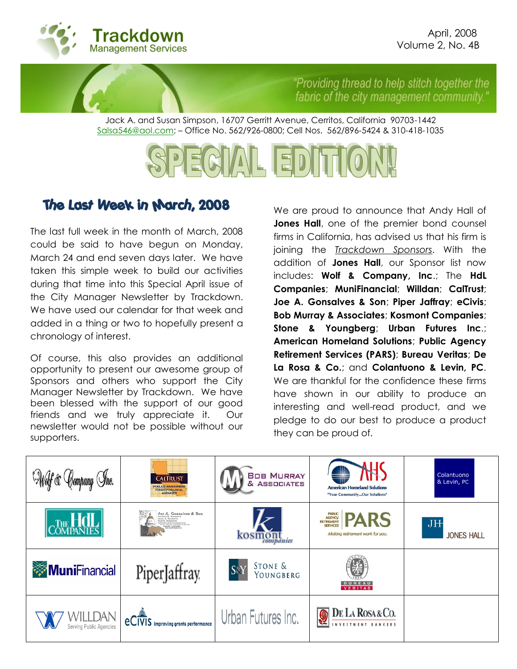

"Providing thread to help stitch together the fabric of the city management community.

Jack A. and Susan Simpson, 16707 Gerritt Avenue, Cerritos, California 90703-1442 Salsa546@aol.com; – Office No. 562/926-0800; Cell Nos. 562/896-5424 & 310-418-1035

# $|\Xi$ D

# The Last Week in March, 2008

The last full week in the month of March, 2008 could be said to have begun on Monday, March 24 and end seven days later. We have taken this simple week to build our activities during that time into this Special April issue of the City Manager Newsletter by Trackdown. We have used our calendar for that week and added in a thing or two to hopefully present a chronology of interest.

Of course, this also provides an additional opportunity to present our awesome group of Sponsors and others who support the City Manager Newsletter by Trackdown. We have been blessed with the support of our good friends and we truly appreciate it. Our newsletter would not be possible without our supporters.

We are proud to announce that Andy Hall of **Jones Hall**, one of the premier bond counsel firms in California, has advised us that his firm is joining the *Trackdown Sponsors*. With the addition of **Jones Hall**, our Sponsor list now includes: **Wolf & Company, Inc**.; The **HdL Companies**; **MuniFinancial**; **Willdan**; **CalTrust**; **Joe A. Gonsalves & Son**; **Piper Jaffray**; **eCivis**; **Bob Murray & Associates**; **Kosmont Companies**; **Stone & Youngberg**; **Urban Futures Inc**.; **American Homeland Solutions**; **Public Agency Retirement Services (PARS)**; **Bureau Veritas**; **De La Rosa & Co.**; and **Colantuono & Levin, PC**. We are thankful for the confidence these firms have shown in our ability to produce an interesting and well-read product, and we pledge to do our best to produce a product they can be proud of.

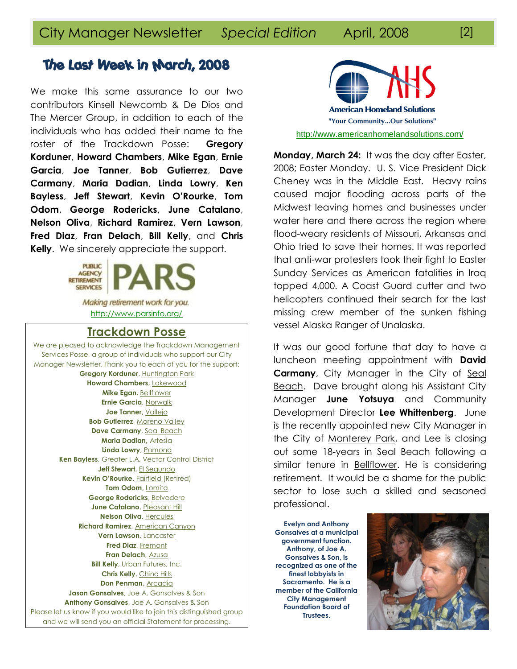We make this same assurance to our two contributors Kinsell Newcomb & De Dios and The Mercer Group, in addition to each of the individuals who has added their name to the roster of the Trackdown Posse: **Gregory Korduner**, **Howard Chambers**, **Mike Egan**, **Ernie Garcia**, **Joe Tanner**, **Bob Gutierrez**, **Dave Carmany**, **Maria Dadian**, **Linda Lowry**, **Ken Bayless**, **Jeff Stewart**, **Kevin O'Rourke**, **Tom Odom**, **George Rodericks**, **June Catalano**, **Nelson Oliva**, **Richard Ramirez**, **Vern Lawson**, **Fred Diaz**, **Fran Delach**, **Bill Kelly**, and **Chris Kelly**. We sincerely appreciate the support.



Making retirement work for you. <http://www.parsinfo.org/>

### **Trackdown Posse**

We are pleased to acknowledge the Trackdown Management Services Posse, a group of individuals who support our City Manager Newsletter. Thank you to each of you for the support: **Gregory Korduner**, Huntington Park **Howard Chambers**, Lakewood **Mike Egan**, Bellflower **Ernie Garcia**, Norwalk **Joe Tanner**, Vallejo **Bob Gutierrez**, Moreno Valley **Dave Carmany**, Seal Beach **Maria Dadian,** Artesia **Linda Lowry**, Pomona **Ken Bayless**, Greater L.A. Vector Control District **Jeff Stewart**, El Segundo **Kevin O'Rourke**, **Fairfield** (Retired) **Tom Odom**, Lomita **George Rodericks**, Belvedere **June Catalano**, Pleasant Hill **Nelson Oliva**, Hercules **Richard Ramirez**, American Canyon **Vern Lawson**, Lancaster **Fred Diaz**, Fremont **Fran Delach**, Azusa **Bill Kelly**, Urban Futures, Inc. **Chris Kelly**, Chino Hills **Don Penman**, Arcadia **Jason Gonsalves**, Joe A. Gonsalves & Son **Anthony Gonsalves**, Joe A. Gonsalves & Son Please let us know if you would like to join this distinguished group and we will send you an official Statement for processing.

**American Homeland Solutions** "Your Community...Our Solutions" <http://www.americanhomelandsolutions.com/>

**Monday, March 24:** It was the day after Easter, 2008; Easter Monday. U. S. Vice President Dick Cheney was in the Middle East. Heavy rains caused major flooding across parts of the Midwest leaving homes and businesses under water here and there across the region where flood-weary residents of Missouri, Arkansas and Ohio tried to save their homes. It was reported that anti-war protesters took their fight to Easter Sunday Services as American fatalities in Iraq topped 4,000. A Coast Guard cutter and two helicopters continued their search for the last missing crew member of the sunken fishing vessel Alaska Ranger of Unalaska.

It was our good fortune that day to have a luncheon meeting appointment with **David Carmany**, City Manager in the City of Seal Beach. Dave brought along his Assistant City Manager **June Yotsuya** and Community Development Director **Lee Whittenberg**. June is the recently appointed new City Manager in the City of Monterey Park, and Lee is closing out some 18-years in Seal Beach following a similar tenure in Bellflower. He is considering retirement. It would be a shame for the public sector to lose such a skilled and seasoned professional.

**Evelyn and Anthony Gonsalves at a municipal government function. Anthony, of Joe A. Gonsalves & Son, is recognized as one of the finest lobbyists in Sacramento. He is a member of the California City Management Foundation Board of Trustees.**

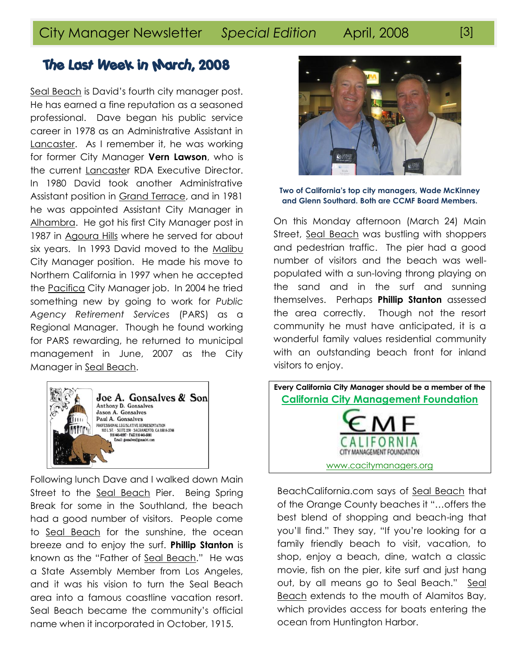Seal Beach is David's fourth city manager post. He has earned a fine reputation as a seasoned professional. Dave began his public service career in 1978 as an Administrative Assistant in Lancaster. As I remember it, he was working for former City Manager **Vern Lawson**, who is the current Lancaster RDA Executive Director. In 1980 David took another Administrative Assistant position in Grand Terrace, and in 1981 he was appointed Assistant City Manager in Alhambra. He got his first City Manager post in 1987 in Agoura Hills where he served for about six years. In 1993 David moved to the Malibu City Manager position. He made his move to Northern California in 1997 when he accepted the Pacifica City Manager job. In 2004 he tried something new by going to work for *Public Agency Retirement Services* (PARS) as a Regional Manager. Though he found working for PARS rewarding, he returned to municipal management in June, 2007 as the City Manager in Seal Beach.



Following lunch Dave and I walked down Main Street to the Seal Beach Pier. Being Spring Break for some in the Southland, the beach had a good number of visitors. People come to Seal Beach for the sunshine, the ocean breeze and to enjoy the surf. **Phillip Stanton** is known as the "Father of Seal Beach." He was a State Assembly Member from Los Angeles, and it was his vision to turn the Seal Beach area into a famous coastline vacation resort. Seal Beach became the community"s official name when it incorporated in October, 1915.



### **Two of California's top city managers, Wade McKinney and Glenn Southard. Both are CCMF Board Members.**

On this Monday afternoon (March 24) Main Street, Seal Beach was bustling with shoppers and pedestrian traffic. The pier had a good number of visitors and the beach was wellpopulated with a sun-loving throng playing on the sand and in the surf and sunning themselves. Perhaps **Phillip Stanton** assessed the area correctly. Though not the resort community he must have anticipated, it is a wonderful family values residential community with an outstanding beach front for inland visitors to enjoy.



BeachCalifornia.com says of Seal Beach that of the Orange County beaches it "…offers the best blend of shopping and beach-ing that you"ll find." They say, "If you"re looking for a family friendly beach to visit, vacation, to shop, enjoy a beach, dine, watch a classic movie, fish on the pier, kite surf and just hang out, by all means go to Seal Beach." Seal Beach extends to the mouth of Alamitos Bay, which provides access for boats entering the ocean from Huntington Harbor.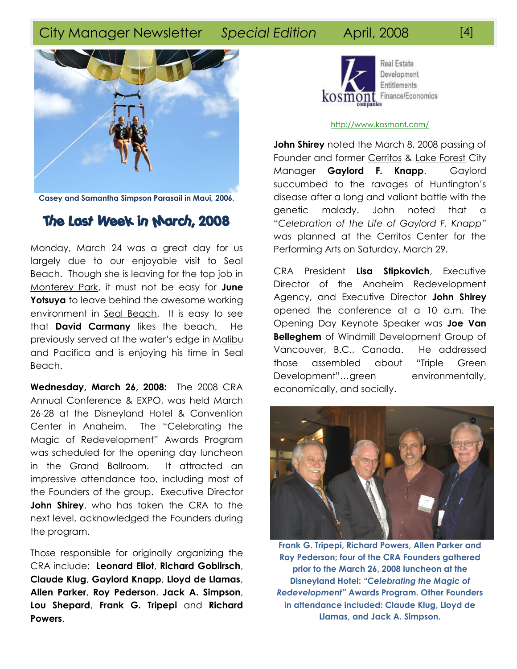# City Manager Newsletter *Special Edition* April, 2008 [4]



**Casey and Samantha Simpson Parasail in Maui, 2006.**

## The Last Week in March, 2008

Monday, March 24 was a great day for us largely due to our enjoyable visit to Seal Beach. Though she is leaving for the top job in Monterey Park, it must not be easy for **June Yotsuya** to leave behind the awesome working environment in Seal Beach. It is easy to see that **David Carmany** likes the beach. He previously served at the water"s edge in Malibu and Pacifica and is enjoying his time in Seal Beach.

**Wednesday, March 26, 2008:** The 2008 CRA Annual Conference & EXPO, was held March 26-28 at the Disneyland Hotel & Convention Center in Anaheim. The "Celebrating the Magic of Redevelopment" Awards Program was scheduled for the opening day luncheon in the Grand Ballroom. It attracted an impressive attendance too, including most of the Founders of the group. Executive Director **John Shirey**, who has taken the CRA to the next level, acknowledged the Founders during the program.

Those responsible for originally organizing the CRA include: **Leonard Eliot**, **Richard Goblirsch**, **Claude Klug**, **Gaylord Knapp**, **Lloyd de Llamas**, **Allen Parker**, **Roy Pederson**, **Jack A. Simpson**, **Lou Shepard**, **Frank G. Tripepi** and **Richard Powers**.



### <http://www.kosmont.com/>

**John Shirey** noted the March 8, 2008 passing of Founder and former Cerritos & Lake Forest City Manager **Gaylord F. Knapp**. Gaylord succumbed to the ravages of Huntington's disease after a long and valiant battle with the genetic malady. John noted that a "*Celebration of the Life of Gaylord F. Knapp*" was planned at the Cerritos Center for the Performing Arts on Saturday, March 29.

CRA President **Lisa Stipkovich**, Executive Director of the Anaheim Redevelopment Agency, and Executive Director **John Shirey** opened the conference at a 10 a.m. The Opening Day Keynote Speaker was **Joe Van Belleghem** of Windmill Development Group of Vancouver, B.C., Canada. He addressed those assembled about "Triple Green Development"...green environmentally, economically, and socially.



**Frank G. Tripepi, Richard Powers, Allen Parker and Roy Pederson; four of the CRA Founders gathered prior to the March 26, 2008 luncheon at the Disneyland Hotel:** *"Celebrating the Magic of Redevelopment"* **Awards Program. Other Founders in attendance included: Claude Klug, Lloyd de Llamas, and Jack A. Simpson.**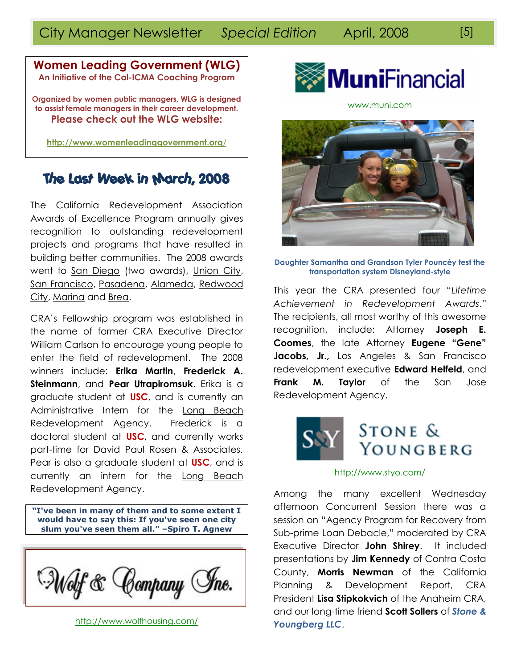### **Women Leading Government (WLG) An Initiative of the Cal-ICMA Coaching Program**

**Organized by women public managers, WLG is designed to assist female managers in their career development. Please check out the WLG website:**

**[http://www.womenleadinggovernment.org](http://www.womenleadinggovernment.org/)**/

# The Last Week in March, 2008

The California Redevelopment Association Awards of Excellence Program annually gives recognition to outstanding redevelopment projects and programs that have resulted in building better communities. The 2008 awards went to San Diego (two awards), Union City, San Francisco, Pasadena, Alameda, Redwood City, Marina and Brea.

CRA"s Fellowship program was established in the name of former CRA Executive Director William Carlson to encourage young people to enter the field of redevelopment. The 2008 winners include: **Erika Martin**, **Frederick A. Steinmann**, and **Pear Utrapiromsuk**. Erika is a graduate student at **USC**, and is currently an Administrative Intern for the Long Beach Redevelopment Agency. Frederick is a doctoral student at **USC**, and currently works part-time for David Paul Rosen & Associates. Pear is also a graduate student at **USC**, and is currently an intern for the Long Beach Redevelopment Agency.

**"I've been in many of them and to some extent I would have to say this: If you've seen one city slum you've seen them all." –Spiro T. Agnew**



<http://www.wolfhousing.com/>



[www.muni.com](http://www.muni.com/)



**Daughter Samantha and Grandson Tyler Pouncéy test the transportation system Disneyland-style**

This year the CRA presented four "*Lifetime Achievement in Redevelopment Awards*." The recipients, all most worthy of this awesome recognition, include: Attorney **Joseph E. Coomes**, the late Attorney **Eugene "Gene"**  Jacobs, Jr., Los Angeles & San Francisco redevelopment executive **Edward Helfeld**, and **Frank M. Taylor** of the San Jose Redevelopment Agency.



### <http://www.styo.com/>

Among the many excellent Wednesday afternoon Concurrent Session there was a session on "Agency Program for Recovery from Sub-prime Loan Debacle," moderated by CRA Executive Director **John Shirey**. It included presentations by **Jim Kennedy** of Contra Costa County, **Morris Newman** of the California Planning & Development Report, CRA President **Lisa Stipkokvich** of the Anaheim CRA, and our long-time friend **Scott Sollers** of *Stone & Youngberg LLC*.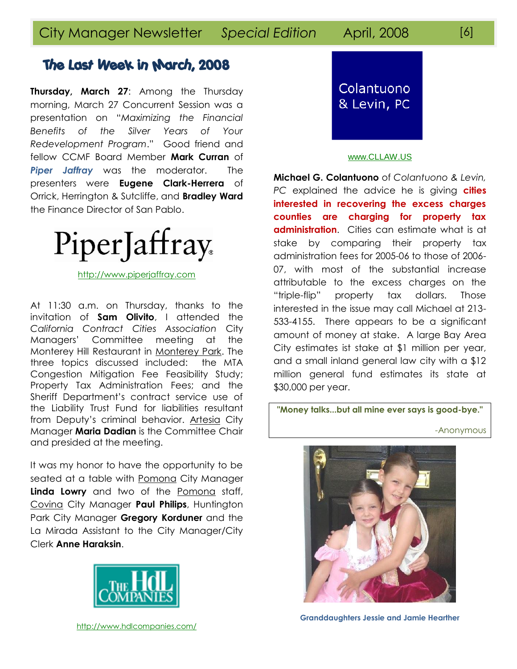**Thursday, March 27**: Among the Thursday morning, March 27 Concurrent Session was a presentation on "*Maximizing the Financial Benefits of the Silver Years of Your Redevelopment Program*." Good friend and fellow CCMF Board Member **Mark Curran** of *Piper Jaffray* was the moderator. The presenters were **Eugene Clark-Herrera** of Orrick, Herrington & Sutcliffe, and **Bradley Ward** the Finance Director of San Pablo.



[http://www.piperjaffray.com](http://www.piperjaffray.com/)

At 11:30 a.m. on Thursday, thanks to the invitation of **Sam Olivito**, I attended the *California Contract Cities Association* City Managers" Committee meeting at the Monterey Hill Restaurant in Monterey Park. The three topics discussed included: the MTA Congestion Mitigation Fee Feasibility Study; Property Tax Administration Fees; and the Sheriff Department"s contract service use of the Liability Trust Fund for liabilities resultant from Deputy"s criminal behavior. Artesia City Manager **Maria Dadian** is the Committee Chair and presided at the meeting.

It was my honor to have the opportunity to be seated at a table with Pomona City Manager **Linda Lowry** and two of the Pomona staff, Covina City Manager **Paul Philips**, Huntington Park City Manager **Gregory Korduner** and the La Mirada Assistant to the City Manager/City Clerk **Anne Haraksin**.





### [www.CLLAW.US](http://www.cllaw.us/)

**Michael G. Colantuono** of *Colantuono & Levin, PC* explained the advice he is giving **cities interested in recovering the excess charges counties are charging for property tax administration.** Cities can estimate what is at stake by comparing their property tax administration fees for 2005-06 to those of 2006- 07, with most of the substantial increase attributable to the excess charges on the "triple-flip" property tax dollars. Those interested in the issue may call Michael at 213- 533-4155. There appears to be a significant amount of money at stake. A large Bay Area City estimates ist stake at \$1 million per year, and a small inland general law city with a \$12 million general fund estimates its state at \$30,000 per year.

**"Money talks...but all mine ever says is good-bye."**

-Anonymous



**Granddaughters Jessie and Jamie Hearther**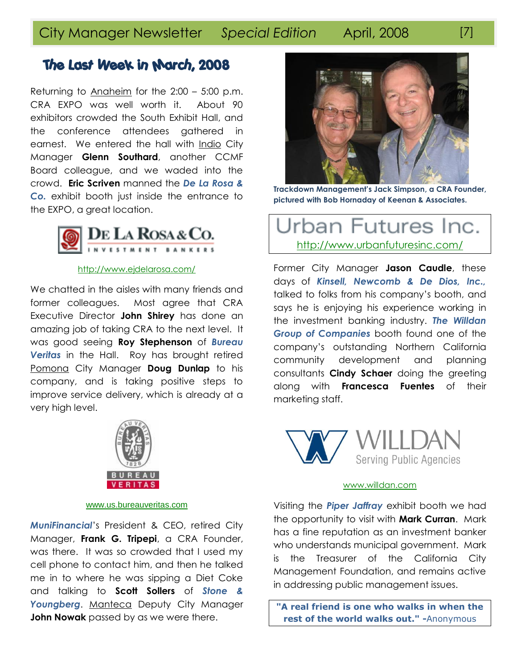Returning to Anaheim for the 2:00 – 5:00 p.m. CRA EXPO was well worth it. About 90 exhibitors crowded the South Exhibit Hall, and the conference attendees gathered in earnest. We entered the hall with Indio City Manager **Glenn Southard**, another CCMF Board colleague, and we waded into the crowd. **Eric Scriven** manned the *De La Rosa & Co.* exhibit booth just inside the entrance to the EXPO, a great location.



### <http://www.ejdelarosa.com/>

We chatted in the aisles with many friends and former colleagues. Most agree that CRA Executive Director **John Shirey** has done an amazing job of taking CRA to the next level. It was good seeing **Roy Stephenson** of *Bureau Veritas* in the Hall. Roy has brought retired Pomona City Manager **Doug Dunlap** to his company, and is taking positive steps to improve service delivery, which is already at a very high level.



### [www.us.bureauveritas.com](http://www.us.bureauveritas.com/)

*MuniFinancial*"s President & CEO, retired City Manager, **Frank G. Tripepi**, a CRA Founder, was there. It was so crowded that I used my cell phone to contact him, and then he talked me in to where he was sipping a Diet Coke and talking to **Scott Sollers** of *Stone & Youngberg*. Manteca Deputy City Manager **John Nowak** passed by as we were there.



**Trackdown Management's Jack Simpson, a CRA Founder, pictured with Bob Hornaday of Keenan & Associates.**

# Jrban Futures Inc. <http://www.urbanfuturesinc.com/>

Former City Manager **Jason Caudle**, these days of *Kinsell, Newcomb & De Dios, Inc.,* talked to folks from his company"s booth, and says he is enjoying his experience working in the investment banking industry. *The Willdan Group of Companies* booth found one of the company"s outstanding Northern California community development and planning consultants **Cindy Schaer** doing the greeting along with **Francesca Fuentes** of their marketing staff.



### [www.willdan.com](http://www.willdan.com/)

Visiting the *Piper Jaffray* exhibit booth we had the opportunity to visit with **Mark Curran**. Mark has a fine reputation as an investment banker who understands municipal government. Mark is the Treasurer of the California City Management Foundation, and remains active in addressing public management issues.

**"A real friend is one who walks in when the rest of the world walks out." -**Anonymous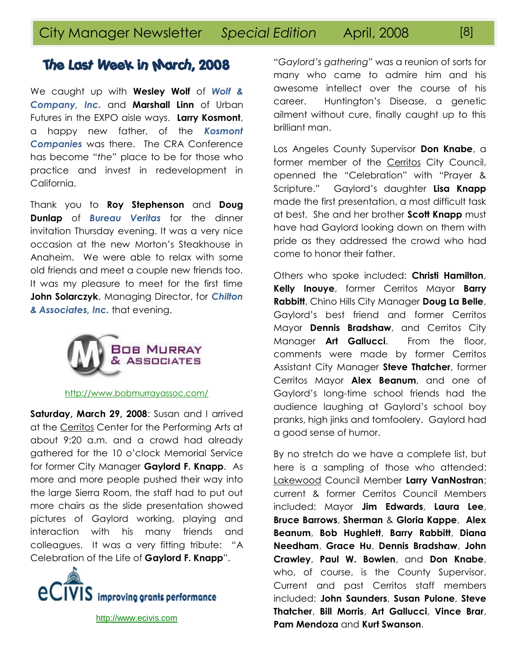We caught up with **Wesley Wolf** of *Wolf & Company, Inc.* and **Marshall Linn** of Urban Futures in the EXPO aisle ways. **Larry Kosmont**, a happy new father, of the *Kosmont Companies* was there. The CRA Conference has become "*the*" place to be for those who practice and invest in redevelopment in California.

Thank you to **Roy Stephenson** and **Doug Dunlap** of *Bureau Veritas* for the dinner invitation Thursday evening. It was a very nice occasion at the new Morton"s Steakhouse in Anaheim. We were able to relax with some old friends and meet a couple new friends too. It was my pleasure to meet for the first time **John Solarczyk**, Managing Director, for *Chilton & Associates, Inc.* that evening.



### <http://www.bobmurrayassoc.com/>

**Saturday, March 29, 2008**: Susan and I arrived at the Cerritos Center for the Performing Arts at about 9:20 a.m. and a crowd had already gathered for the 10 o"clock Memorial Service for former City Manager **Gaylord F. Knapp**. As more and more people pushed their way into the large Sierra Room, the staff had to put out more chairs as the slide presentation showed pictures of Gaylord working, playing and interaction with his many friends and colleagues. It was a very fitting tribute: "A Celebration of the Life of **Gaylord F. Knapp**".



[http://www.ecivis.com](http://www.ecivis.com/)

"*Gaylord's gathering*" was a reunion of sorts for many who came to admire him and his awesome intellect over the course of his career. Huntington"s Disease, a genetic ailment without cure, finally caught up to this brilliant man.

Los Angeles County Supervisor **Don Knabe**, a former member of the Cerritos City Council, openned the "Celebration" with "Prayer & Scripture." Gaylord"s daughter **Lisa Knapp** made the first presentation, a most difficult task at best. She and her brother **Scott Knapp** must have had Gaylord looking down on them with pride as they addressed the crowd who had come to honor their father.

Others who spoke included: **Christi Hamilton**, **Kelly Inouye**, former Cerritos Mayor **Barry Rabbitt**, Chino Hills City Manager **Doug La Belle**, Gaylord"s best friend and former Cerritos Mayor **Dennis Bradshaw**, and Cerritos City Manager **Art Gallucci**. From the floor, comments were made by former Cerritos Assistant City Manager **Steve Thatcher**, former Cerritos Mayor **Alex Beanum**, and one of Gaylord"s long-time school friends had the audience laughing at Gaylord"s school boy pranks, high jinks and tomfoolery. Gaylord had a good sense of humor.

By no stretch do we have a complete list, but here is a sampling of those who attended: Lakewood Council Member **Larry VanNostran**; current & former Cerritos Council Members included: Mayor **Jim Edwards**, **Laura Lee**, **Bruce Barrows**, **Sherman** & **Gloria Kappe**, **Alex Beanum**, **Bob Hughlett**, **Barry Rabbitt**, **Diana Needham**, **Grace Hu**, **Dennis Bradshaw**, **John Crawley**, **Paul W. Bowlen**, and **Don Knabe**, who, of course, is the County Supervisor. Current and past Cerritos staff members included: **John Saunders**, **Susan Pulone**, **Steve Thatcher**, **Bill Morris**, **Art Gallucci**, **Vince Brar**, **Pam Mendoza** and **Kurt Swanson**.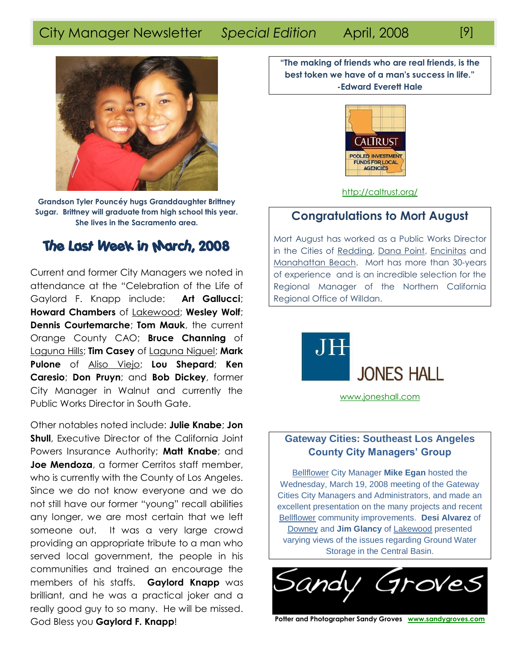# City Manager Newsletter *Special Edition* April, 2008 [9]



**Grandson Tyler Pouncéy hugs Granddaughter Brittney Sugar. Brittney will graduate from high school this year. She lives in the Sacramento area.**

# The Last Week in March, 2008

Current and former City Managers we noted in attendance at the "Celebration of the Life of Gaylord F. Knapp include: **Art Gallucci**; **Howard Chambers** of Lakewood; **Wesley Wolf**; **Dennis Courtemarche**; **Tom Mauk**, the current Orange County CAO; **Bruce Channing** of Laguna Hills; **Tim Casey** of Laguna Niguel; **Mark Pulone** of Aliso Viejo; **Lou Shepard**; **Ken Caresio**; **Don Pruyn**; and **Bob Dickey**, former City Manager in Walnut and currently the Public Works Director in South Gate.

Other notables noted include: **Julie Knabe**; **Jon Shull**, Executive Director of the California Joint Powers Insurance Authority; **Matt Knabe**; and **Joe Mendoza**, a former Cerritos staff member, who is currently with the County of Los Angeles. Since we do not know everyone and we do not still have our former "young" recall abilities any longer, we are most certain that we left someone out. It was a very large crowd providing an appropriate tribute to a man who served local government, the people in his communities and trained an encourage the members of his staffs. **Gaylord Knapp** was brilliant, and he was a practical joker and a really good guy to so many. He will be missed. God Bless you **Gaylord F. Knapp**!

**"The making of friends who are real friends, is the best token we have of a man's success in life."** **-Edward Everett Hale**



<http://caltrust.org/>

### **Congratulations to Mort August**

Mort August has worked as a Public Works Director in the Cities of Redding, Dana Point, Encinitas and Manahattan Beach. Mort has more than 30-years of experience and is an incredible selection for the Regional Manager of the Northern California Regional Office of Willdan.



[www.joneshall.com](http://www.joneshall.com/)

### **Gateway Cities: Southeast Los Angeles County City Managers' Group**

Bellflower City Manager **Mike Egan** hosted the Wednesday, March 19, 2008 meeting of the Gateway Cities City Managers and Administrators, and made an excellent presentation on the many projects and recent Bellflower community improvements. **Desi Alvarez** of Downey and **Jim Glancy** of Lakewood presented varying views of the issues regarding Ground Water Storage in the Central Basin.



**Potter and Photographer Sandy Groves [www.sandygroves.com](http://www.sandygroves.com/)**